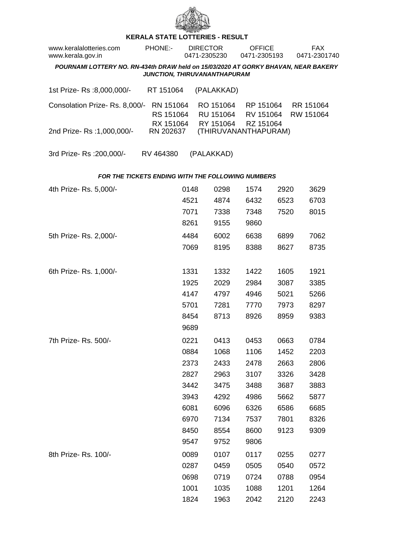

## **KERALA STATE LOTTERIES - RESULT**

| www.keralalotteries.com<br>www.kerala.gov.in                                                                       |  | PHONE:-                             |      | <b>DIRECTOR</b><br>0471-2305230 |                                     | <b>OFFICE</b><br>0471-2305193       |      |  | <b>FAX</b><br>0471-2301740 |  |  |  |
|--------------------------------------------------------------------------------------------------------------------|--|-------------------------------------|------|---------------------------------|-------------------------------------|-------------------------------------|------|--|----------------------------|--|--|--|
| POURNAMI LOTTERY NO. RN-434th DRAW held on 15/03/2020 AT GORKY BHAVAN, NEAR BAKERY<br>JUNCTION, THIRUVANANTHAPURAM |  |                                     |      |                                 |                                     |                                     |      |  |                            |  |  |  |
| 1st Prize-Rs :8,000,000/-                                                                                          |  | RT 151064                           |      |                                 | (PALAKKAD)                          |                                     |      |  |                            |  |  |  |
| Consolation Prize-Rs. 8,000/-                                                                                      |  | RN 151064<br>RS 151064<br>RX 151064 |      |                                 | RO 151064<br>RU 151064<br>RY 151064 | RP 151064<br>RV 151064<br>RZ 151064 |      |  | RR 151064<br>RW 151064     |  |  |  |
| 2nd Prize-Rs: 1,000,000/-                                                                                          |  | RN 202637                           |      |                                 |                                     | (THIRUVANANTHAPURAM)                |      |  |                            |  |  |  |
| 3rd Prize-Rs : 200,000/-                                                                                           |  | RV 464380                           |      |                                 | (PALAKKAD)                          |                                     |      |  |                            |  |  |  |
| FOR THE TICKETS ENDING WITH THE FOLLOWING NUMBERS                                                                  |  |                                     |      |                                 |                                     |                                     |      |  |                            |  |  |  |
| 4th Prize-Rs. 5,000/-                                                                                              |  |                                     | 0148 |                                 | 0298                                | 1574                                | 2920 |  | 3629                       |  |  |  |
|                                                                                                                    |  |                                     | 4521 |                                 | 4874                                | 6432                                | 6523 |  | 6703                       |  |  |  |
|                                                                                                                    |  |                                     | 7071 |                                 | 7338                                | 7348                                | 7520 |  | 8015                       |  |  |  |
|                                                                                                                    |  |                                     | 8261 |                                 | 9155                                | 9860                                |      |  |                            |  |  |  |
| 5th Prize-Rs. 2,000/-                                                                                              |  |                                     | 4484 |                                 | 6002                                | 6638                                | 6899 |  | 7062                       |  |  |  |
|                                                                                                                    |  |                                     | 7069 |                                 | 8195                                | 8388                                | 8627 |  | 8735                       |  |  |  |
| 6th Prize-Rs. 1,000/-                                                                                              |  |                                     | 1331 |                                 | 1332                                | 1422                                | 1605 |  | 1921                       |  |  |  |
|                                                                                                                    |  |                                     | 1925 |                                 | 2029                                | 2984                                | 3087 |  | 3385                       |  |  |  |
|                                                                                                                    |  |                                     | 4147 |                                 | 4797                                | 4946                                | 5021 |  | 5266                       |  |  |  |
|                                                                                                                    |  |                                     | 5701 |                                 | 7281                                | 7770                                | 7973 |  | 8297                       |  |  |  |
|                                                                                                                    |  |                                     | 8454 |                                 | 8713                                | 8926                                | 8959 |  | 9383                       |  |  |  |
|                                                                                                                    |  |                                     | 9689 |                                 |                                     |                                     |      |  |                            |  |  |  |
| 7th Prize- Rs. 500/-                                                                                               |  |                                     | 0221 |                                 | 0413                                | 0453                                | 0663 |  | 0784                       |  |  |  |
|                                                                                                                    |  |                                     | 0884 |                                 | 1068                                | 1106                                | 1452 |  | 2203                       |  |  |  |
|                                                                                                                    |  |                                     | 2373 |                                 | 2433                                | 2478                                | 2663 |  | 2806                       |  |  |  |
|                                                                                                                    |  |                                     | 2827 |                                 | 2963                                | 3107                                | 3326 |  | 3428                       |  |  |  |
|                                                                                                                    |  |                                     | 3442 |                                 | 3475                                | 3488                                | 3687 |  | 3883                       |  |  |  |
|                                                                                                                    |  |                                     | 3943 |                                 | 4292                                | 4986                                | 5662 |  | 5877                       |  |  |  |
|                                                                                                                    |  |                                     | 6081 |                                 | 6096                                | 6326                                | 6586 |  | 6685                       |  |  |  |
|                                                                                                                    |  |                                     | 6970 |                                 | 7134                                | 7537                                | 7801 |  | 8326                       |  |  |  |
|                                                                                                                    |  |                                     | 8450 |                                 | 8554                                | 8600                                | 9123 |  | 9309                       |  |  |  |
|                                                                                                                    |  |                                     | 9547 |                                 | 9752                                | 9806                                |      |  |                            |  |  |  |
| 8th Prize-Rs. 100/-                                                                                                |  |                                     | 0089 |                                 | 0107                                | 0117                                | 0255 |  | 0277                       |  |  |  |
|                                                                                                                    |  |                                     | 0287 |                                 | 0459                                | 0505                                | 0540 |  | 0572                       |  |  |  |
|                                                                                                                    |  |                                     | 0698 |                                 | 0719                                | 0724                                | 0788 |  | 0954                       |  |  |  |

1001 1035 1088 1201 1264 1824 1963 2042 2120 2243